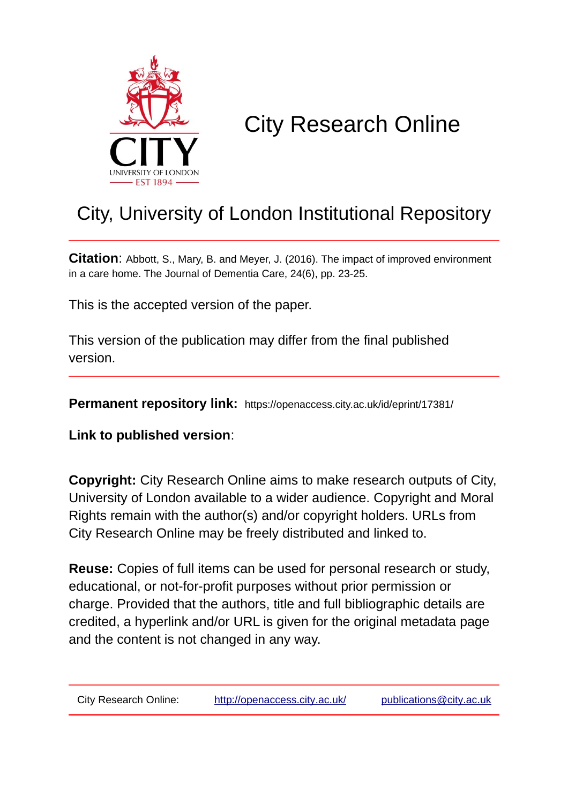

# City Research Online

# City, University of London Institutional Repository

**Citation**: Abbott, S., Mary, B. and Meyer, J. (2016). The impact of improved environment in a care home. The Journal of Dementia Care, 24(6), pp. 23-25.

This is the accepted version of the paper.

This version of the publication may differ from the final published version.

**Permanent repository link:** https://openaccess.city.ac.uk/id/eprint/17381/

**Link to published version**:

**Copyright:** City Research Online aims to make research outputs of City, University of London available to a wider audience. Copyright and Moral Rights remain with the author(s) and/or copyright holders. URLs from City Research Online may be freely distributed and linked to.

**Reuse:** Copies of full items can be used for personal research or study, educational, or not-for-profit purposes without prior permission or charge. Provided that the authors, title and full bibliographic details are credited, a hyperlink and/or URL is given for the original metadata page and the content is not changed in any way.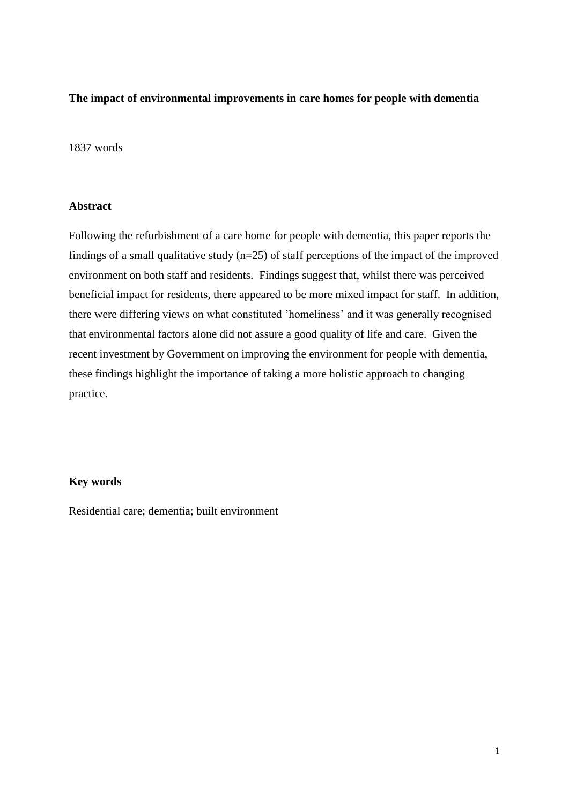#### **The impact of environmental improvements in care homes for people with dementia**

#### 1837 words

### **Abstract**

Following the refurbishment of a care home for people with dementia, this paper reports the findings of a small qualitative study  $(n=25)$  of staff perceptions of the impact of the improved environment on both staff and residents. Findings suggest that, whilst there was perceived beneficial impact for residents, there appeared to be more mixed impact for staff. In addition, there were differing views on what constituted 'homeliness' and it was generally recognised that environmental factors alone did not assure a good quality of life and care. Given the recent investment by Government on improving the environment for people with dementia, these findings highlight the importance of taking a more holistic approach to changing practice.

#### **Key words**

Residential care; dementia; built environment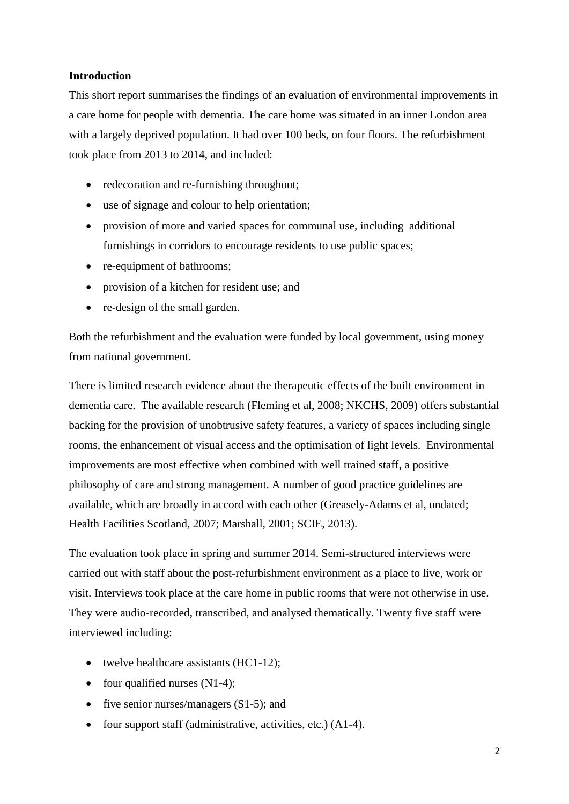# **Introduction**

This short report summarises the findings of an evaluation of environmental improvements in a care home for people with dementia. The care home was situated in an inner London area with a largely deprived population. It had over 100 beds, on four floors. The refurbishment took place from 2013 to 2014, and included:

- redecoration and re-furnishing throughout;
- use of signage and colour to help orientation;
- provision of more and varied spaces for communal use, including additional furnishings in corridors to encourage residents to use public spaces;
- re-equipment of bathrooms;
- provision of a kitchen for resident use; and
- re-design of the small garden.

Both the refurbishment and the evaluation were funded by local government, using money from national government.

There is limited research evidence about the therapeutic effects of the built environment in dementia care. The available research (Fleming et al, 2008; NKCHS, 2009) offers substantial backing for the provision of unobtrusive safety features, a variety of spaces including single rooms, the enhancement of visual access and the optimisation of light levels. Environmental improvements are most effective when combined with well trained staff, a positive philosophy of care and strong management. A number of good practice guidelines are available, which are broadly in accord with each other (Greasely-Adams et al, undated; Health Facilities Scotland, 2007; Marshall, 2001; SCIE, 2013).

The evaluation took place in spring and summer 2014. Semi-structured interviews were carried out with staff about the post-refurbishment environment as a place to live, work or visit. Interviews took place at the care home in public rooms that were not otherwise in use. They were audio-recorded, transcribed, and analysed thematically. Twenty five staff were interviewed including:

- twelve healthcare assistants (HC1-12);
- four qualified nurses  $(N1-4)$ ;
- five senior nurses/managers  $(S1-5)$ ; and
- four support staff (administrative, activities, etc.)  $(A1-4)$ .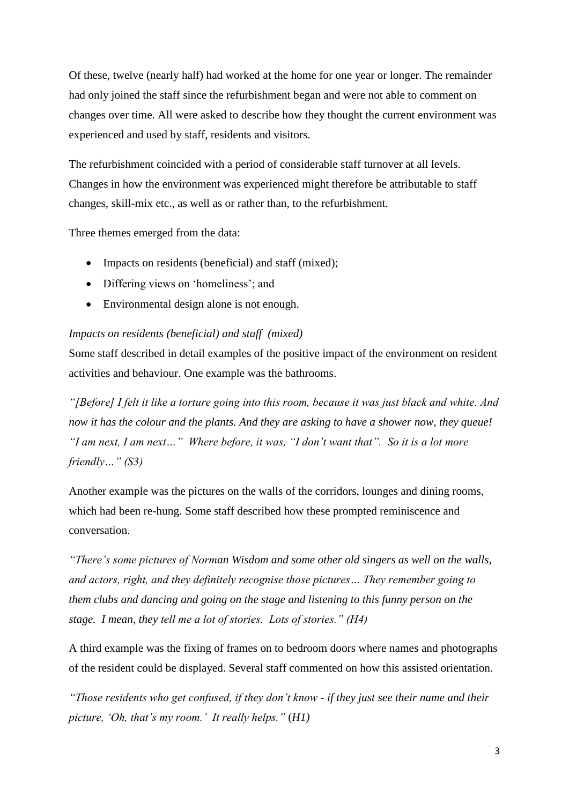Of these, twelve (nearly half) had worked at the home for one year or longer. The remainder had only joined the staff since the refurbishment began and were not able to comment on changes over time. All were asked to describe how they thought the current environment was experienced and used by staff, residents and visitors.

The refurbishment coincided with a period of considerable staff turnover at all levels. Changes in how the environment was experienced might therefore be attributable to staff changes, skill-mix etc., as well as or rather than, to the refurbishment.

Three themes emerged from the data:

- Impacts on residents (beneficial) and staff (mixed);
- Differing views on 'homeliness'; and
- Environmental design alone is not enough.

#### *Impacts on residents (beneficial) and staff (mixed)*

Some staff described in detail examples of the positive impact of the environment on resident activities and behaviour. One example was the bathrooms.

*"[Before] I felt it like a torture going into this room, because it was just black and white. And now it has the colour and the plants. And they are asking to have a shower now, they queue! "I am next, I am next…" Where before, it was, "I don't want that". So it is a lot more friendly…" (S3)*

Another example was the pictures on the walls of the corridors, lounges and dining rooms, which had been re-hung. Some staff described how these prompted reminiscence and conversation.

*"There's some pictures of Norman Wisdom and some other old singers as well on the walls, and actors, right, and they definitely recognise those pictures… They remember going to them clubs and dancing and going on the stage and listening to this funny person on the stage. I mean, they tell me a lot of stories. Lots of stories." (H4)* 

A third example was the fixing of frames on to bedroom doors where names and photographs of the resident could be displayed. Several staff commented on how this assisted orientation.

*"Those residents who get confused, if they don't know - if they just see their name and their picture, 'Oh, that's my room.' It really helps."* (*H1)*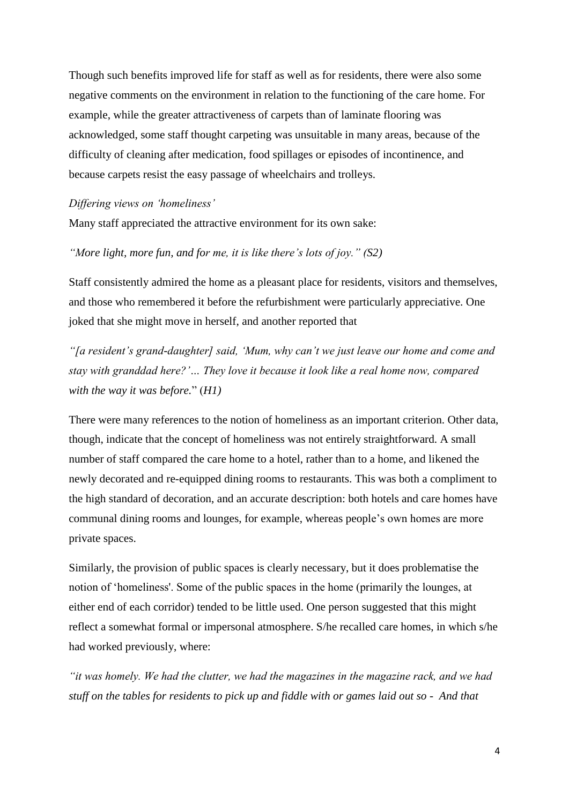Though such benefits improved life for staff as well as for residents, there were also some negative comments on the environment in relation to the functioning of the care home. For example, while the greater attractiveness of carpets than of laminate flooring was acknowledged, some staff thought carpeting was unsuitable in many areas, because of the difficulty of cleaning after medication, food spillages or episodes of incontinence, and because carpets resist the easy passage of wheelchairs and trolleys.

#### *Differing views on 'homeliness'*

Many staff appreciated the attractive environment for its own sake:

#### *"More light, more fun, and for me, it is like there's lots of joy." (S2)*

Staff consistently admired the home as a pleasant place for residents, visitors and themselves, and those who remembered it before the refurbishment were particularly appreciative. One joked that she might move in herself, and another reported that

*"[a resident's grand-daughter] said, 'Mum, why can't we just leave our home and come and stay with granddad here?'… They love it because it look like a real home now, compared with the way it was before.*" (*H1)*

There were many references to the notion of homeliness as an important criterion. Other data, though, indicate that the concept of homeliness was not entirely straightforward. A small number of staff compared the care home to a hotel, rather than to a home, and likened the newly decorated and re-equipped dining rooms to restaurants. This was both a compliment to the high standard of decoration, and an accurate description: both hotels and care homes have communal dining rooms and lounges, for example, whereas people's own homes are more private spaces.

Similarly, the provision of public spaces is clearly necessary, but it does problematise the notion of 'homeliness'. Some of the public spaces in the home (primarily the lounges, at either end of each corridor) tended to be little used. One person suggested that this might reflect a somewhat formal or impersonal atmosphere. S/he recalled care homes, in which s/he had worked previously, where:

*"it was homely. We had the clutter, we had the magazines in the magazine rack, and we had stuff on the tables for residents to pick up and fiddle with or games laid out so - And that*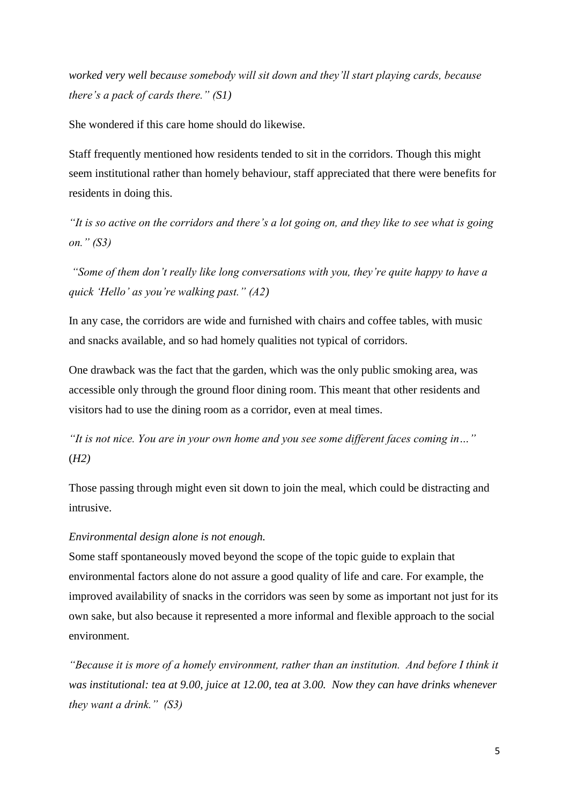*worked very well because somebody will sit down and they'll start playing cards, because there's a pack of cards there." (S1)*

She wondered if this care home should do likewise.

Staff frequently mentioned how residents tended to sit in the corridors. Though this might seem institutional rather than homely behaviour, staff appreciated that there were benefits for residents in doing this.

*"It is so active on the corridors and there's a lot going on, and they like to see what is going on." (S3)*

*"Some of them don't really like long conversations with you, they're quite happy to have a quick 'Hello' as you're walking past." (A2)*

In any case, the corridors are wide and furnished with chairs and coffee tables, with music and snacks available, and so had homely qualities not typical of corridors.

One drawback was the fact that the garden, which was the only public smoking area, was accessible only through the ground floor dining room. This meant that other residents and visitors had to use the dining room as a corridor, even at meal times.

*"It is not nice. You are in your own home and you see some different faces coming in…"*  (*H2)*

Those passing through might even sit down to join the meal, which could be distracting and intrusive.

#### *Environmental design alone is not enough.*

Some staff spontaneously moved beyond the scope of the topic guide to explain that environmental factors alone do not assure a good quality of life and care. For example, the improved availability of snacks in the corridors was seen by some as important not just for its own sake, but also because it represented a more informal and flexible approach to the social environment.

*"Because it is more of a homely environment, rather than an institution. And before I think it was institutional: tea at 9.00, juice at 12.00, tea at 3.00. Now they can have drinks whenever they want a drink." (S3)*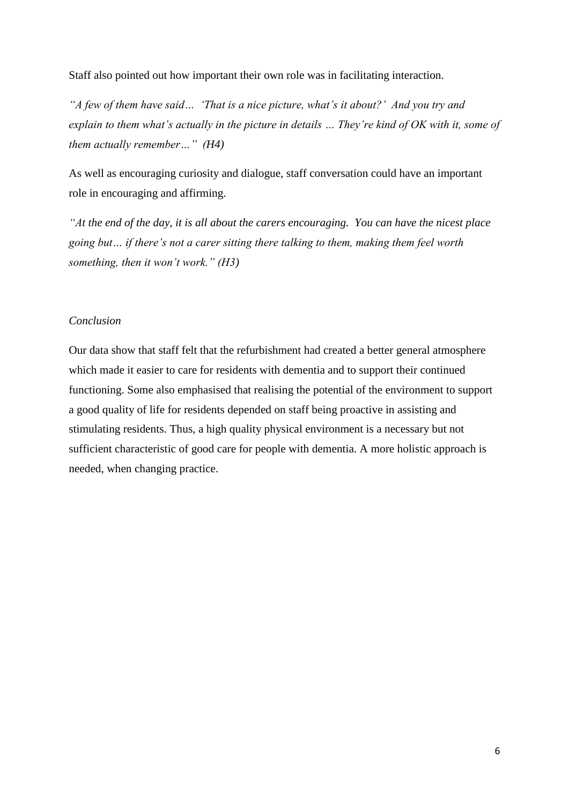Staff also pointed out how important their own role was in facilitating interaction.

*"A few of them have said… 'That is a nice picture, what's it about?' And you try and explain to them what's actually in the picture in details … They're kind of OK with it, some of them actually remember…" (H4)*

As well as encouraging curiosity and dialogue, staff conversation could have an important role in encouraging and affirming.

*"At the end of the day, it is all about the carers encouraging. You can have the nicest place going but… if there's not a carer sitting there talking to them, making them feel worth something, then it won't work." (H3)*

## *Conclusion*

Our data show that staff felt that the refurbishment had created a better general atmosphere which made it easier to care for residents with dementia and to support their continued functioning. Some also emphasised that realising the potential of the environment to support a good quality of life for residents depended on staff being proactive in assisting and stimulating residents. Thus, a high quality physical environment is a necessary but not sufficient characteristic of good care for people with dementia. A more holistic approach is needed, when changing practice.